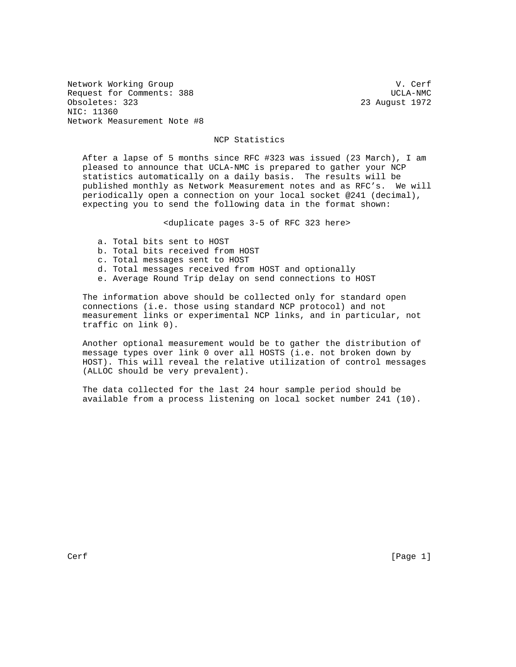Network Working Group van de verfanging van de verfanging van de verfanging van de verfanging van de verfanging van de verfanging van de verfanging van de verfanging van de verfanging van de verfanging van de verfanging va Request for Comments: 388 UCLA-NMC Obsoletes: 323 23 August 1972 NIC: 11360 Network Measurement Note #8

## NCP Statistics

 After a lapse of 5 months since RFC #323 was issued (23 March), I am pleased to announce that UCLA-NMC is prepared to gather your NCP statistics automatically on a daily basis. The results will be published monthly as Network Measurement notes and as RFC's. We will periodically open a connection on your local socket @241 (decimal), expecting you to send the following data in the format shown:

<duplicate pages 3-5 of RFC 323 here>

- a. Total bits sent to HOST
- b. Total bits received from HOST
- c. Total messages sent to HOST
- d. Total messages received from HOST and optionally
- e. Average Round Trip delay on send connections to HOST

 The information above should be collected only for standard open connections (i.e. those using standard NCP protocol) and not measurement links or experimental NCP links, and in particular, not traffic on link 0).

 Another optional measurement would be to gather the distribution of message types over link 0 over all HOSTS (i.e. not broken down by HOST). This will reveal the relative utilization of control messages (ALLOC should be very prevalent).

 The data collected for the last 24 hour sample period should be available from a process listening on local socket number 241 (10).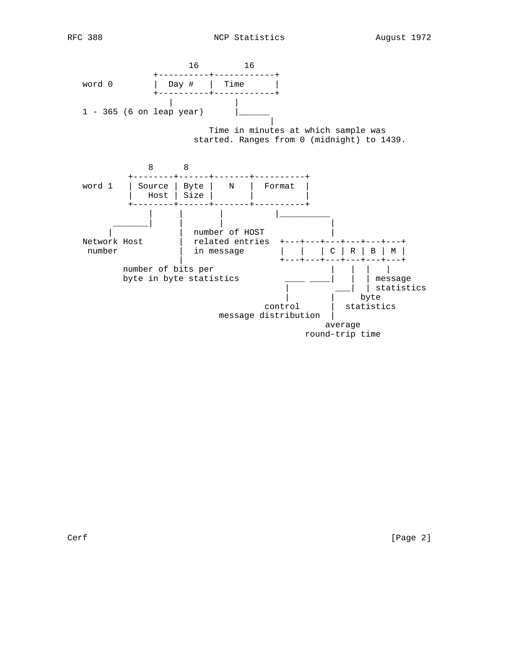

Cerf [Page 2]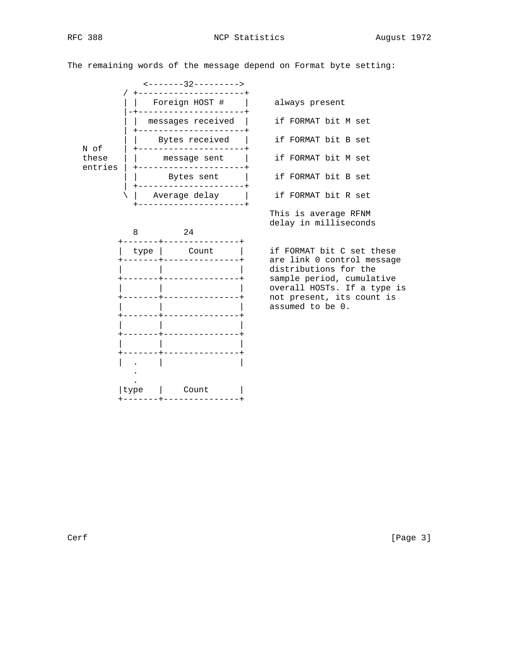RFC 388 NCP Statistics August 1972

The remaining words of the message depend on Format byte setting:





This is average RFNM

delay in milliseconds

 +-------+---------------+ are link 0 control message | | | overall HOSTs. If a type is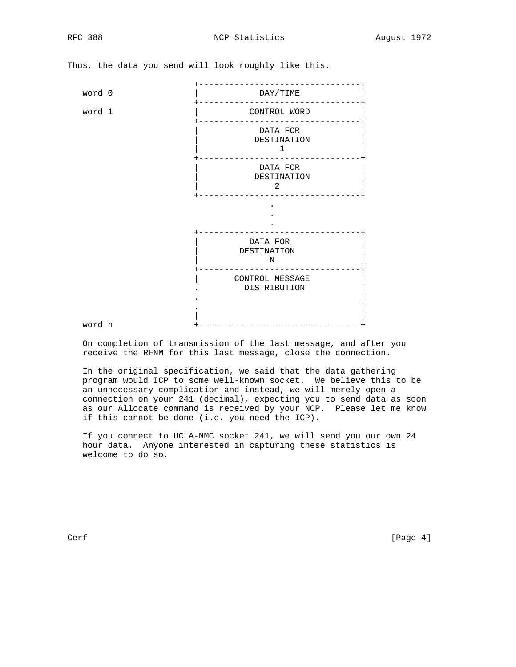+--------------------------------+ word 0 | DAY/TIME +--------------------------------+ word 1 | CONTROL WORD +--------------------------------+ | DATA FOR | | DESTINATION |  $\frac{1}{1}$  +--------------------------------+  $\vert$  DATA FOR  $\vert$  | DESTINATION |  $\overline{\phantom{a}}$  2 +--------------------------------+ . . . +--------------------------------+ | DATA FOR | | DESTINATION |  $\,$  N +--------------------------------+ | CONTROL MESSAGE | . DISTRIBUTION | . The contract of the contract of the contract of the contract of the contract of the contract of the contract of the contract of the contract of the contract of the contract of the contract of the contract of the contrac . | | | word n +--------------------------------+

Thus, the data you send will look roughly like this.

 On completion of transmission of the last message, and after you receive the RFNM for this last message, close the connection.

 In the original specification, we said that the data gathering program would ICP to some well-known socket. We believe this to be an unnecessary complication and instead, we will merely open a connection on your 241 (decimal), expecting you to send data as soon as our Allocate command is received by your NCP. Please let me know if this cannot be done (i.e. you need the ICP).

 If you connect to UCLA-NMC socket 241, we will send you our own 24 hour data. Anyone interested in capturing these statistics is welcome to do so.

Cerf [Page 4]